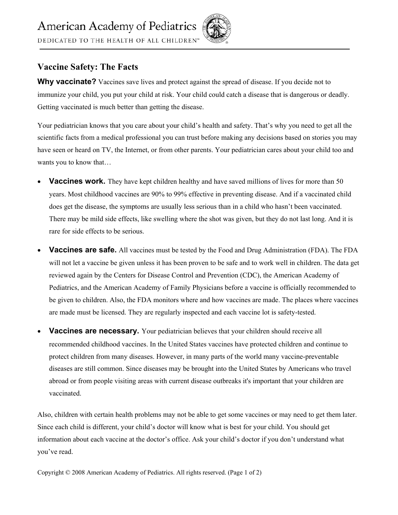DEDICATED TO THE HEALTH OF ALL CHILDREN<sup>®</sup>

## **Vaccine Safety: The Facts**

Why vaccinate? Vaccines save lives and protect against the spread of disease. If you decide not to immunize your child, you put your child at risk. Your child could catch a disease that is dangerous or deadly. Getting vaccinated is much better than getting the disease.

Your pediatrician knows that you care about your child's health and safety. That's why you need to get all the scientific facts from a medical professional you can trust before making any decisions based on stories you may have seen or heard on TV, the Internet, or from other parents. Your pediatrician cares about your child too and wants you to know that…

- **Vaccines work.** They have kept children healthy and have saved millions of lives for more than 50 years. Most childhood vaccines are 90% to 99% effective in preventing disease. And if a vaccinated child does get the disease, the symptoms are usually less serious than in a child who hasn't been vaccinated. There may be mild side effects, like swelling where the shot was given, but they do not last long. And it is rare for side effects to be serious.
- **Vaccines are safe.** All vaccines must be tested by the Food and Drug Administration (FDA). The FDA will not let a vaccine be given unless it has been proven to be safe and to work well in children. The data get reviewed again by the Centers for Disease Control and Prevention (CDC), the American Academy of Pediatrics, and the American Academy of Family Physicians before a vaccine is officially recommended to be given to children. Also, the FDA monitors where and how vaccines are made. The places where vaccines are made must be licensed. They are regularly inspected and each vaccine lot is safety-tested.
- **Vaccines are necessary.** Your pediatrician believes that your children should receive all recommended childhood vaccines. In the United States vaccines have protected children and continue to protect children from many diseases. However, in many parts of the world many vaccine-preventable diseases are still common. Since diseases may be brought into the United States by Americans who travel abroad or from people visiting areas with current disease outbreaks it's important that your children are vaccinated.

Also, children with certain health problems may not be able to get some vaccines or may need to get them later. Since each child is different, your child's doctor will know what is best for your child. You should get information about each vaccine at the doctor's office. Ask your child's doctor if you don't understand what you've read.

Copyright © 2008 American Academy of Pediatrics. All rights reserved. (Page 1 of 2)